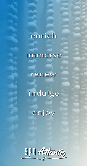# enrich

# immerse

renew

indulge

enjoy

SPA Atlantis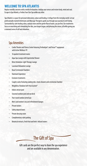## **WELCOME TO SPA ATLANTIS**

Replace worldly concerns with a world of relaxation. Indulge your senses and restore body, mind and soul. Escape to Spa Atlantis, a Forbes Four-Star Spa unlike any other.

Spa Atlantis is a space for personal rediscovery, solace and healing. A refuge from the everyday world. Let our professionally trained Estheticians and Massage Therapists guide you through your journey to well-being. Surrounded by calm healing colors, natural stone and the gentle flow of water, you are free. Our treatments focus on nourishing and stimulating the skin, your largest organ, and pleasing the senses, all while giving you a renewed sense of self and relaxation.

# Spa Amenities

- ~ Cardio Theater and Fitness Center featuring TechnoGym® and Precor<sup>sM</sup> equipment with Active Wellness TV
- 16 opulent treatment rooms
- ~ Aqua Spa Lounge with Experiential Shower
- ~ Brine Inhalation-Light Therapy Lounge
- Laconium Relaxation Lounge
- Rasul Ceremonial Chambers
- ~ Hammam Experience
- $\sim$  Exclusive treatments
- ~ Couples suites featuring soaking tubs, steam showers and ceremonial chamber
- ~ Weightless Flotation Soft-Pack-System®
- $\sim$  Indoor atrium pool
- Seasonal outdoor pool and sun deck
- ~ Year-round outdoor jetted spa
- Men's and women's tea and refreshment lounges
- Private lockers
- Safety deposit boxes
- $\sim$  Private dressing room
- Complimentary valet parking
- ~ Botanical extracts, fresh fruit and herb- infused waters

# The Gift of Spa

Gift cards are the perfect way to share the spa experience and are available in any denomination.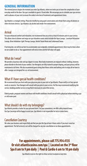#### **GENERAL INFORMATION**

The renewal process begins the moment you enter Spa Atlantis, where we invite you to leave the complexities of your everyday world at the door. Our spa is available to guests 18 and older. We encourage you to schedule your spa services well in advance of your visit to ensure the widest selection of treatments and appointment times.

Spa Atlantis is a tranquil setting. Please be mindful by using quiet conversation and refrain from using cell phones or other electronic devices. Spa Atlantis is an alcohol and smoke-free environment.

# Arrival

For your enhanced comfort and relaxation, we recommend that you arrive at least 45 minutes prior to your service. This allows time to shower and enjoy our spa relaxation rooms which include the Aqua Lounge, Laconium Relaxation Lounge, Brine Inhalation-Light Therapy Lounge, Herbal Steam Room and Cedarwood Sauna.

If arriving late, we will do our best to accommodate your originally scheduled appointment; there may be times when we are unable to do so. Your appointment will end on time and the full value will apply.

## What do I wear?

We provide a luxurious robe and spa slippers to wear. Most body treatments are enjoyed without clothing, however, please disrobe to the level of your comfort. Our therapists are fully trained in proper draping, and your privacy will be maintained at all times. We also recommend guests bring their fitness attire and bathing suits to enjoy all we have to offer. Lounges are designed for a co-ed environment.

# What if I have special health conditions?

We recommend that you check with your physician prior to your visit at Spa Atlantis. Please notify us of any special needs or concerns. Your therapist will consult with you prior to your service. He/She may recommend modifying the service, booking another service or may find it necessary to cancel the service.

Elderly people, pregnant women and those with health conditions should consult with a physician before entering a spa or cold water pool.

# What should I do with my belongings?

Spa Atlantis provides a locker for your personal items. For your convenience, we offer safety deposit boxes. Our Spa Concierge will be happy to assist you. Spa Atlantis is not responsible for lost or stolen items.

# Cancellation Courtesy

We value your business and respectfully ask that you give the Spa at least 4 hours notice if you must cancel an appointment. The full service(s) cost will be charged for any late cancellation or no show appointments.

**For appointments, please call 775.954.4135 Or visit atlantiscasino.com/spa | Located on the 3rd floor Spa 8 am to 9 pm daily | Pool & Cardio 6 am to 10 pm daily**

Spa Atlantis reserves the right to refuse service to anyone at any time.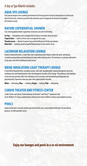# A day at Spa Atlantis includes:

## **AQUA SPA LOUNGE**

Your journey begins in the soothing environment of jetted spa pools of varying temperatures to refresh and relax tired muscles. Immerse yourself in the cold water pool to invigorate the body and strengthen the immune system.

# **NATURE EXPERIENTIAL SHOWER**

Four choreographed shower experiences to discover your inner well-being.

**Ice Fog** — Stimulating scents of peppermint to balance the body, mind and spirit **Tropical Rain** — Scents of fresh citrus to invigorate the senses **Thunderstorm** — Blends of summer hay and fresh flowers to let the soul unwind **Waterfall** — Soothing sounds of gentle flowing water to relax and de-stress

# **LACONIUM RELAXATION LOUNGE**

Heated contoured benches, a warm floor and a captivating water feature soothe the spirit, stimulating circulation and purifying and detoxifying the body while reducing stress. The laconium is a welcome alternative to Spa goers who find a traditional sauna too hot.

# **BRINE INHALATION-LIGHT THERAPY LOUNGE**

A waterfall of beautiful brine cascading crystals, with color changing lights rotating through the spectrum, soothing music and heated benches aid in the therapeutic benefits of this lounge. The ambience and inhalation of salt aerosols positively affect the respiratory tract to increase well-being both psychologically and physiologically. Experience what spa-goers have appreciated for decades.

**White** — Refreshing, **Blue** — Soothing, **Purple** — Healing, **Pink** — Motivating.

# **CARDIO THEATER AND FITNESS CENTER**

Cardio Theater and Fitness Center featuring TechnoGym® and Precor<sup>SM</sup> equipment with Active Wellness TV. Enjoy complementary infused water hand-crafted to enhance your workout recovery.

# **POOLS**

Indoor atrium pool, seasonal outdoor pool and sun deck, year-round outdoor jetted spa. For your dining pleasure, we offer poolside service.

**Enjoy our lounges and pools in a co-ed environment**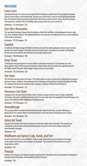## **MASSAGE**

#### Lomi Lomi

A profound Hawaiian art, Lomi Lomi massage facilitates healing on a spiritual level. This specialized technique focuses on the wellness of the whole being, relieving stress and tension, as well as increasing blood and lymph flow. The rhythmic flowing movements up and down the body are used to achieve a deep, yet gentle massage. Your experience concludes with a nourishing scalp massage using warm, pure coconut oil.

*60 minutes \$ 175 | 90 minutes \$ 215*

## East-West Restorative

This specialized massage is drawn from the traditions of both East and West, concentrating on the back, scalp, face, neck, shoulders and feet. The targeted and precise use of pressure stimulates the nervous system benefiting all the systems and organs.

*60 minutes \$ 175 | 90 minutes \$ 215*

#### Swedish

A traditional full body massage with light to medium pressure that works gradually to release muscle tension. Increases the level of oxygen in the blood, decreases muscle toxins, and improves circulation and flexibility. Elevate your service with any selection from our massage enhancements.

*60 minutes \$ 150 | 90 minutes \$ 190*

## Deep Tissue

A therapeutic massage targeted to release tightness and reduce muscle pain. This technique uses slow, deep-guided strokes and firm pressure designed to relieve tension and reach below the superficial muscles. Our highly trained therapists will be happy to adjust pressure to your liking.

*60 minutes \$ 165 | 90 minutes \$ 205*

#### Hot Stone

This full-body massage utilizes hot stones. The heated stones are used to warm muscles allowing the massage to penetrate deeper, enabling a more profound state of relaxation and improving circulation throughout the body. The radiating heat allows the melting of aches and pains, creating a feeling of restored balance.

*60 minutes \$ 175 | 90 minutes \$ 215*

#### Himalayan Salt Stone

Himalayan salt is the purest form of salt on earth. It balances your pH, prevents muscle cramps, replenishes electrolytes and assists in alkalizing the body to rid it of excess acids. Enjoy the tranquility of heated Himalayan salt stones and scented oils while indulging in a relaxing massage.

*60 minutes \$ 175 | 90 minutes \$ 215*

#### Aromatherapy

This massage utilizes essential oils that benefit the largest organ of your body, your skin. Working at a physical level, the aromatic effects of each blend balance mind and emotion through the sense of smell.

*60 minutes \$ 165 | 90 minutes \$ 205*

#### Arnica Hot Towel

Experience the benefits of hot towels to get your muscles into a deep state of relaxation. This massage uses essential oils, arnica tension relieving oil and incorporates hot stones on the feet to achieve a deeper and more therapeutic massage.

*90 minutes \$ 220*

# Wildflower and Apricot Scalp, Hands, and Feet

Nourish and enrich with a warm wildflower scalp massage, followed by an apricot infused oil massage on the hands and feet where nerve endings are abundant. This treatment is the perfect focus on just scalp, hands, and feet.

*60 minutes \$ 150*

#### Prenatal

Indulge. This massage uses techniques designed specifically for relaxation and to ease discomforts of pregnancy during this time of transition. (Not available in the first trimester)

*60 minutes \$ 150*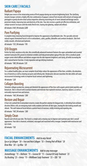# **SKIN CARE | FACIALS**

#### Radiant Papaya

Delight your senses in the intoxicating aroma of fresh papaya during our enzyme brightening facial. The clarifying enzyme masque contains a highly effective combination of papaya's natural fruit enzyme with extracts of mango and pineapple to gently dissolve dead surface impurities allowing nourishing oils of sweet almond and borage seed to penetrate deeply, improving tone and elasticity of the skin. Your skin receives a gentle yet effective exfoliation, and cellular turnover increases with the exotic Neroli mist, leaving skin glowing, radiant and refined.

*60 minutes \$160 | 90 minutes \$200*

# Pore Purifying

A complete deep cleansing facial designed to improve the appearance of problematic skin. This specially selected natural organic formulated facial is rich in antioxidants, calms, purifies, detoxifies and combats breakouts. Skin feels visibly smooth, refreshed and hydrated.

*60 minutes \$ 155 | 90 minutes \$ 195*

# Q10 Oxygen

Perfect for tired, sensitive or dry skin, this scientifically advanced treatment features the super-antioxidant and essential nutrient Coenzyme Q10, proven to minimize wrinkles and help prevent photo aging of the skin. Q10 is a medical-grade oxygen carrier which diffuses and delivers oxygen into the skin improves brightness and clarity, all while increasing the skin's natural barrier function. A truly reparative and age defying treatment.

*60 minutes \$ 180 | 90 minutes \$ 220*

## Rejuvenating Microcurrent

For a radiant healthy glow, our most complete facial helps reduce the appearance of fine lines, wrinkles, discoloration, loss of elasticity as well as clearing out pores and refining skin. Biodynamic skincare nourishes the skin while soft wave microcurrent technology works to improve facial contours and tightening.

*90 minutes \$ 220*

# Collagen Boosting

Stimulate collagen production, plump and diminish the appearance of fine lines with organic potent plant peptides and botanicals. Skin is infused with essential vitamins and minerals that replenish moisture, elasticity, balance, as well as noticeably improved tone and texture.

*60 minutes \$ 160 | 90 minutes \$ 200*

#### Restore and Repair

A fruit-rich cocktail full of antioxidant vitamins creates the perfect solution for fatigued skin. A refreshing fruit exfoliate dissolves lifeless cells; an energizing mask visibly awakens and tones all skin types, leaving the skin looking smooth and vibrant. This well-balanced facial delivers a potent boost of moisture, visibly restoring and repairing skin.

*60 minutes \$ 160 | 90 minutes \$ 200*

# Simply Clean

Nourish and refresh your skin. This facial is a simple and a relaxing way to improve and maintain your skin's overall appearance. Your skin is cleansed, exfoliated, massaged and nourished with a masque. Complete with moisturizer and eye cream.

*60 minutes \$ 150*

## **FACIAL ENHANCEMENTS** *Add to any facial*

*Eye or Lip Collagen \$ 20 • Face and Neck Collagen \$ 35 • Firming Peel-off Mask \$ 20 Brow Wax \$ 20 • Lip Wax \$ 20*

#### **MASSAGE ENHANCEMENTS** *Add to any massage*

*Aromatherapy \$ 15 • Biofreeze \$ 15 • Coconut Oil \$ 15 • Coconut Oil Scalp Treatment \$ 25 Dry Brushing \$ 25 • Arnica \$ 15 • Wildflower Scalp Treatment \$ 25 • CBD \$ 50*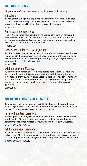# **WELLNESS RITUALS**

Indulge in our Wellness focused rituals specifically crafted to bring balance to body, mind and spirit.

# Shirodhara

This mind-opening treatment promotes a light state of meditation as a fine stream of warm herb infused oil cascades over the forehead. Feel deep relaxation as the warm oils nourish your hair and scalp. The experience will take you on a journey deep within. A steam shower ends this wonderful treatment.

*60 minutes \$ 170*

# Pantai Luar Body Experience

An Eastern Asian inspired body treatment that improves the look, tone, clarity and texture of skin via rapid cellular rejuvenation. Heated sachets filled with the world's finest quality herbs, coconut and limes exude a warm and exotic fragrance throughout your experience. The appearance of the skin improves immediately as nutrients and essential oils are manipulated deep into the skin.

*80 minutes \$ 220*

# Jacojupayan Opulence (*Ja-co-ju-pie-an*)

This full body treatment utilizes the power of enzymes and unique techniques to restore the body and revitalize the skin. A focused foot massage using warm stones will balance the body and help release stress. Exfoliating gloves and warm towels are used to remove the enzymes, followed by a relaxing full body massage using a nourishing shea butter infused with citrus essential oil.

*90 minutes \$ 230*

# Exfoliate, Soak and Massage

Your treatment starts with an exfoliation using an exfoliating mitt to increase circulation. We then apply a de-stressing blend of rosemary, black pepper, lavender and ginger essential oils to the body. Next, step into a warm bath and soak away your worries. De-stress muscle gel is applied to aching muscles giving them the extra love they need. We end the treatment with a 60 minute massage using an oil blend to help support healthy circulation and revive tired, overworked muscles, as well as nourish the skin. Your aching muscles will appreciate the TLC.

*120 minutes \$ 275*

# **THE RASUL CEREMONIAL CHAMBER**

This luxurious body treatment is reminiscent of the ancient Arabian cleansing rituals of royalty. This private, extravagant experience takes place in a temple under the twinkling light of the stars and concludes with a tropical rain shower. The Rasul Ceremony may be experienced solo or with a partner.

# Terra Sigillata Rasul Ceremony

You artfully apply six healing muds, harvested from around the world while the chamber fills gently with herbal steam. Feel the detoxifying properties of each mud as a mask forms while you relax on your heated throne. The ceremony concludes with a refreshing shower and your skin is detoxified and renewed, silky smooth.

*50 minutes \$ 120 (single) | \$ 180 (couple)*

# Bali Paradise Rasul Ceremony

Your ceremony begins with the application of a customized blend of freshly prepared fruits and oils used to create a mask over the body. While in the chamber, aromatic infused steam will enhance your exotic escape, penetrating the fruit enzymes deep into the skin. Your ceremony finishes with a refreshing shower and your skin fresh and aglow.

*50 minutes \$ 120 (single) | \$ 180 (couple)*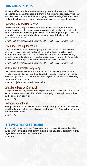# **BODY WRAPS | SCRUBS**

Relax in a heated flotation bed that relieves joint pressure and promotes muscle renewal, as well as healing. Cocooned and submerged, you'll float in a peaceful, almost weightless environment as our exclusive wraps aid your body in the absorption of oils, creams and other products giving you a newfound feeling of wellness. For optimal hydration and results, we recommend enjoying our steam, sauna or water treatments prior to this experience.

# Hydrating Milk and Honey Wrap

Our secret recipe of milk, honey and nourishing oils combine together to create an elegant and indulgent experience. You will be treated to a milk and honey sugar scrub over the entire body to exfoliate dry, dehydrated skin. A warm blend of milk, honey and therapeutic oils regenerates, nourishes and provides a protective treatment for your skin. The finishing touch is an invigorating face and scalp massage while floating weightless in the warmth of our Soft Pack<sup>SM</sup>.

*60 minutes \$ 180 | With 30 Minute Swedish (90 minutes) \$ 230 | 60 Minute Swedish (120 minutes) \$ 290*

# Citron Age-Defying Body Wrap

Visibly lift and firm the look of the skin with this age-defying wrap. Your treatment starts with a dry brush exfoliation to increase circulation and lymph flow, followed by a light application of nourishing body oil. Your body is then drenched with citron massage soufflé, containing lemon juice to tone and restore the skin, jojoba oil to rehydrate and shea butter and avocado oil to repair the appearance of damaged skin. Enjoy a relaxing face and scalp massage while you are wrapped in our heated weightless flotation Soft Pack<sup>SM</sup>.

*60 minutes \$ 180 | With 30 Minute Swedish (90 minutes) \$ 230 | 60 Minute Swedish (120 minutes) \$ 290*

# Restore and Illuminate Body Wrap

Naturally nourish and invigorate your body with a luxurious exfoliation of stone crop, green tea and lemon. A restorative gel containing stone crop, aloe and powerful nutrients is applied to the body to rejuvenate, detoxify and brighten. Enjoy a blissful face and scalp massage and a full body float in our weightless flotation Soft Pack<sup>SM</sup>, releasing tension from your entire body.

*80 minutes \$ 210 | With 30 Minute Swedish (110 minutes) \$ 270*

# Detoxifying Dead Sea Salt Scrub

An invigorating, exfoliating body scrub using the healing powers of salt from the Dead Sea is gently worked into the skin to exfoliate and improve circulation. After a refreshing rinse, enjoy a light moisture application that will leave your skin feeling silky soft and glowing.

*50 minutes \$ 150*

# Hydrating Sugar Polish

Fresh sugarcane crystals are used to exfoliate and gently buff away aging, dehydrated skin cells. This scrub is rich in nourishing oils and leaves a lasting, deep moisture even after being rinsed away. Your skin will feel soft and you will leave polished and revived.

*50 minutes \$ 150*

# **EFFERVESCENCE SPA PEDICURE**

Sit back and enjoy the comfort and privacy of our spa pedicure suite. A luxurious soak in coconut milk nourishes your legs and feet. Your skin is then exfoliated and hydrated with an exotic sugar scrub. A scented paraffin treatment is enjoyed before you are polished, poised and effervescent.

*60 minutes \$ 115*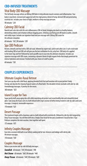# **CBD-INFUSED TREATMENTS**

# Vital Body CBD Massage

This full body massage utilizes an 800mg CBD Balm to help alleviate muscle soreness and inflammation. Your body is nourished, renewed and supported with this high potency blend of hemp-derived CBD and penetrating essential oils. Includes your choice of light, medium or deep massage pressure.

*90 minutes \$ 230*

# Calming CBD Facial

Nourish and calm skin with this anti-inflammatory CBD oil blend, bringing skin back to a healthy balance, diminishing redness and irritation without clogging pores. Utilizing a purifying peel off mask to soothe, smooth and visibly repair. Includes our signature hand and arm massage with 200mg CBD cream for the ultimate relaxation.

*60 minutes \$ 165 | 90 minutes \$ 205*

# Spa CBD Pedicure

Restore, detoxify and heal with a CBD salt soak, followed by expert nail, cuticle and callus care. A salt scrub made with healing CBD oil and CBD salt will give you the best exfoliation for dry, achy feet. CBD body oil is applied to the lower legs and feet followed by warm paraffin wax to ease into the ultimate relaxation. Includes our signature massage with CBD cream, containing a dynamic blend of eight organic herbs that deeply penetrate for intense hydration and renewal. Finished with your choice of a buff or polish.

*60 minutes \$ 130*

# **COUPLES EXPERIENCES**

#### Ultimate Couples Rasul Retreat

Start your spa day with a Bali Rasul, applying blended fresh fruit and luxurious oils to your partner's body. Emerge and slip into the relaxing fragrant waters of a floral bath. This decadent retreat concludes with side-by-side Aromatherapy massages. A journey for the senses.

*160 minutes \$ 625*

## Island Escape for Two

Sugar gently buffs away aging skin cells while nourishing oils protect and reveal healthy skin and a beautiful island glow. Soak away all of your cares in a bath infused with virgin coconut oil before being treated to side-by-side Lomi Lomi massages. A magical, memorable experience.

*110 minutes \$ 625* 

#### Desert Passage

This treatment begins with a luxurious soak in a bath infused with essential oils, followed by side-by-side invigorating Deep Tissue massages. You will then drift into a Simply Clean facial for her and a Gentlemen's facial for him. A Spa Pedicure completes the mini vacation, time together well spent.

*175 minutes \$ 875*

## Infinity Couples Massage

Ease into a coconut milk bath in our Infinity soaking tub for two. Immerse and indulge with side by side 90 minute massages.

*110 minutes \$ 550*

#### Couples Massage

Relax as you receive side-by-side full body massages.

*Swedish 60 minutes \$ 310 | 90 minutes \$ 390 Hot Stone 60 minutes \$ 360 | 90 minutes \$ 440 Deep Tissue 60 minutes \$ 340 | 90 minutes \$ 420*